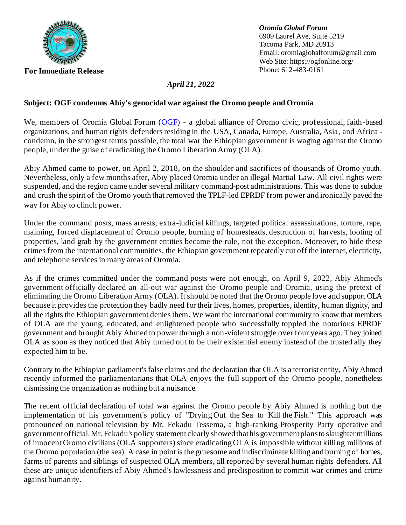

*Oromia Global Forum* 6909 Laurel Ave, Suite 5219 Tacoma Park, MD 20913 Email[: oromiaglobalforum@gmail.com](about:blank) Web Site[: https://ogfonline.org/](about:blank)<br>Phone: 612-483-0161

## *April 21, 2022*

## **Subject: OGF condemns Abiy's genocidal war against the Oromo people and Oromia**

We, members of Oromia Global Forum [\(OGF\)](https://ogfonline.org/about/) - a global alliance of Oromo civic, professional, faith-based organizations, and human rights defenders residing in the USA, Canada, Europe, Australia, Asia, and Africa condemn, in the strongest terms possible, the total war the Ethiopian government is waging against the Oromo people, under the guise of eradicating the Oromo Liberation Army (OLA).

Abiy Ahmed came to power, on April 2, 2018, on the shoulder and sacrifices of thousands of Oromo youth. Nevertheless, only a few months after, Abiy placed Oromia under an illegal Martial Law. All civil rights were suspended, and the region came under several military command-post administrations. This was done to subdue and crush the spirit of the Oromo youth that removed the TPLF-led EPRDF from power and ironically paved the way for Abiy to clinch power.

Under the command posts, mass arrests, extra-judicial killings, targeted political assassinations, torture, rape, maiming, forced displacement of Oromo people, burning of homesteads, destruction of harvests, looting of properties, land grab by the government entities became the rule, not the exception. Moreover, to hide these crimes from the international communities, the Ethiopian government repeatedly cut off the internet, electricity, and telephone services in many areas of Oromia.

As if the crimes committed under the command posts were not enough, on April 9, 2022, Abiy Ahmed's government officially declared an all-out war against the Oromo people and Oromia, using the pretext of eliminating the Oromo Liberation Army (OLA). It should be noted that the Oromo people love and support OLA because it provides the protection they badly need for their lives, homes, properties, identity, human dignity, and all the rights the Ethiopian government denies them. We want the international community to know that members of OLA are the young, educated, and enlightened people who successfully toppled the notorious EPRDF government and brought Abiy Ahmed to power through a non-violent struggle over four years ago. They joined OLA as soon as they noticed that Abiy turned out to be their existential enemy instead of the trusted ally they expected him to be.

Contrary to the Ethiopian parliament's false claims and the declaration that OLA is a terrorist entity, Abiy Ahmed recently informed the parliamentarians that OLA enjoys the full support of the Oromo people, nonetheless dismissing the organization as nothing but a nuisance.

The recent official declaration of total war against the Oromo people by Abiy Ahmed is nothing but the implementation of his government's policy of "Drying Out the Sea to Kill the Fish." This approach was pronounced on national television by Mr. Fekadu Tessema, a high-ranking Prosperity Party operative and government official. Mr. Fekadu's policy statement clearly showed that his government plansto slaughter millions of innocent Oromo civilians (OLA supporters) since eradicating OLA is impossible without killing millions of the Oromo population (the sea). A case in point is the gruesome and indiscriminate killing and burning of homes, farms of parents and siblings of suspected OLA members, all reported by several human rights defenders. All these are unique identifiers of Abiy Ahmed's lawlessness and predisposition to commit war crimes and crime against humanity.